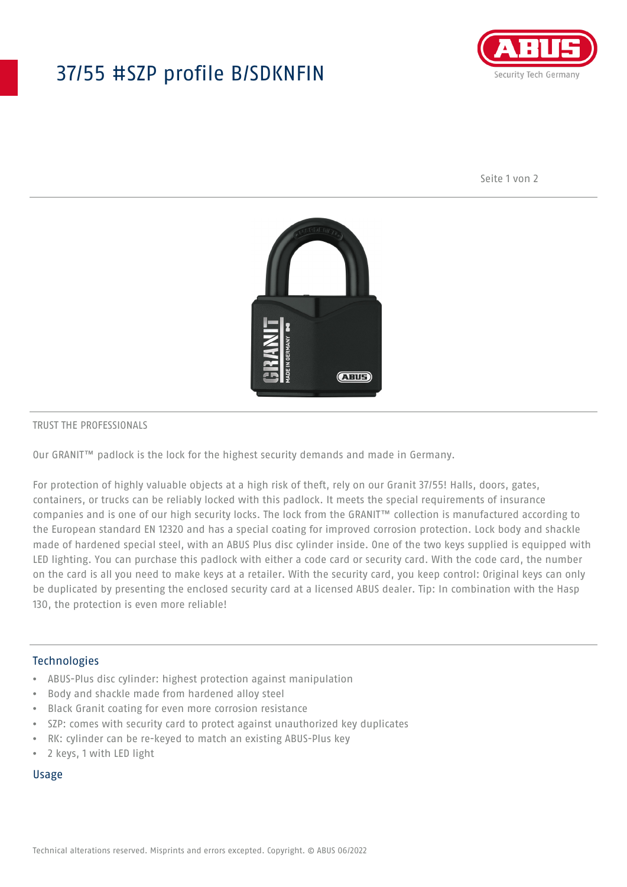# 37/55 #SZP profile B/SDKNFIN



Seite 1 von 2



#### TRUST THE PROFESSIONALS

Our GRANIT™ padlock is the lock for the highest security demands and made in Germany.

For protection of highly valuable objects at a high risk of theft, rely on our Granit 37/55! Halls, doors, gates, containers, or trucks can be reliably locked with this padlock. It meets the special requirements of insurance companies and is one of our high security locks. The lock from the GRANIT™ collection is manufactured according to the European standard EN 12320 and has a special coating for improved corrosion protection. Lock body and shackle made of hardened special steel, with an ABUS Plus disc cylinder inside. One of the two keys supplied is equipped with LED lighting. You can purchase this padlock with either a code card or security card. With the code card, the number on the card is all you need to make keys at a retailer. With the security card, you keep control: Original keys can only be duplicated by presenting the enclosed security card at a licensed ABUS dealer. Tip: In combination with the Hasp 130, the protection is even more reliable!

#### **Technologies**

- ABUS-Plus disc cylinder: highest protection against manipulation
- Body and shackle made from hardened alloy steel
- Black Granit coating for even more corrosion resistance
- SZP: comes with security card to protect against unauthorized key duplicates
- RK: cylinder can be re-keyed to match an existing ABUS-Plus key
- 2 keys, 1 with LED light

## Usage